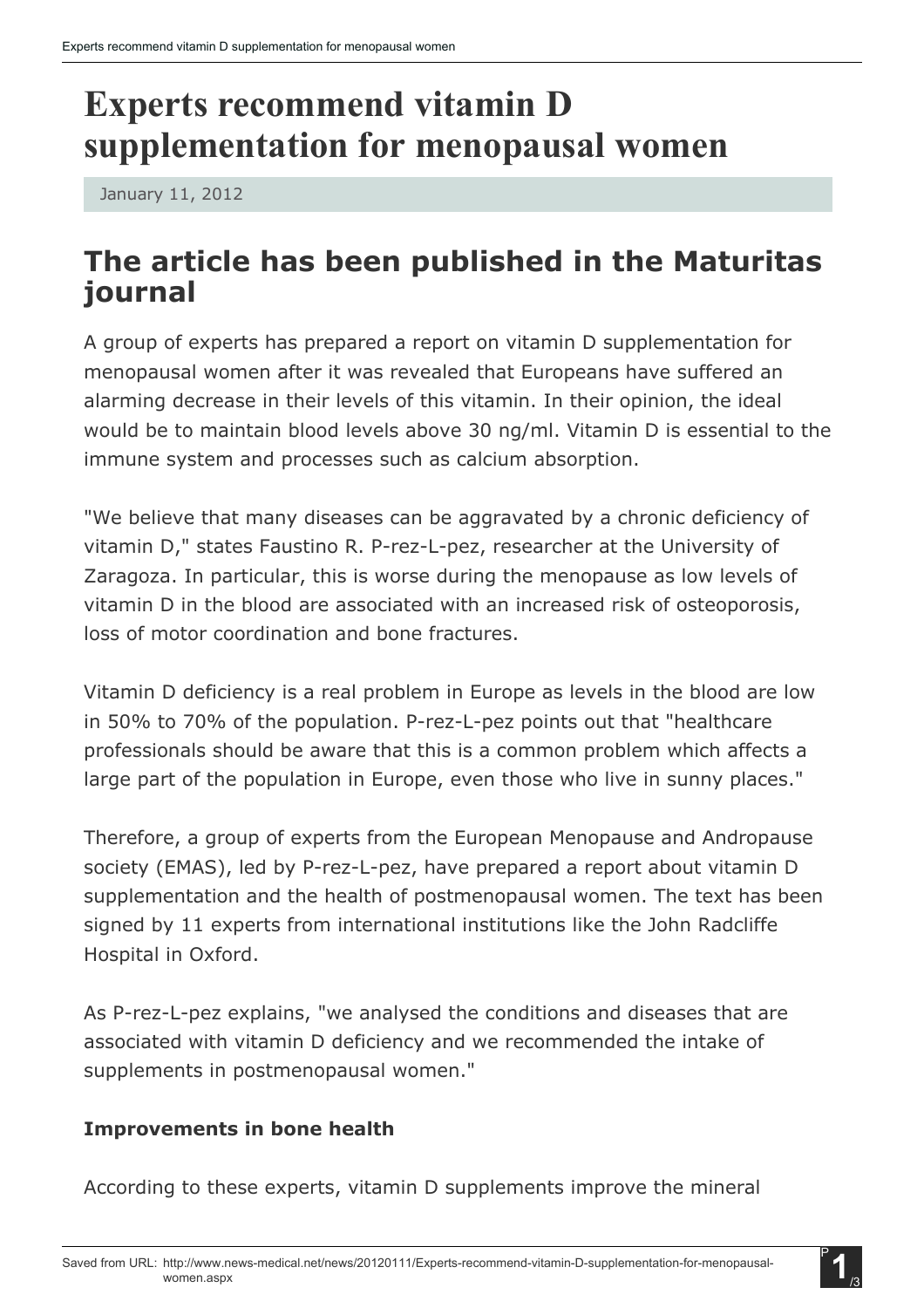# Experts recommend vitamin D supplementation for menopausal women

January 11, 2012

## The article has been published in the Maturitas journal

A group of experts has prepared a report on vitamin D supplementation for menopausal women after it was revealed that Europeans have suffered an alarming decrease in their levels of this vitamin. In their opinion, the ideal would be to maintain blood levels above 30 ng/ml. Vitamin D is essential to the immune system and processes such as calcium absorption.

"We believe that many diseases can be aggravated by a chronic deficiency of vitamin D," states Faustino R. P-rez-L-pez, researcher at the University of Zaragoza. In particular, this is worse during the menopause as low levels of vitamin D in the blood are associated with an increased risk of osteoporosis, loss of motor coordination and bone fractures.

Vitamin D deficiency is a real problem in Europe as levels in the blood are low in 50% to 70% of the population. P-rez-L-pez points out that "healthcare professionals should be aware that this is a common problem which affects a large part of the population in Europe, even those who live in sunny places."

Therefore, a group of experts from the European Menopause and Andropause society (EMAS), led by P-rez-L-pez, have prepared a report about vitamin D supplementation and the health of postmenopausal women. The text has been signed by 11 experts from international institutions like the John Radcliffe Hospital in Oxford.

As P-rez-L-pez explains, "we analysed the conditions and diseases that are associated with vitamin D deficiency and we recommended the intake of supplements in postmenopausal women."

## Improvements in bone health

According to these experts, vitamin D supplements improve the mineral

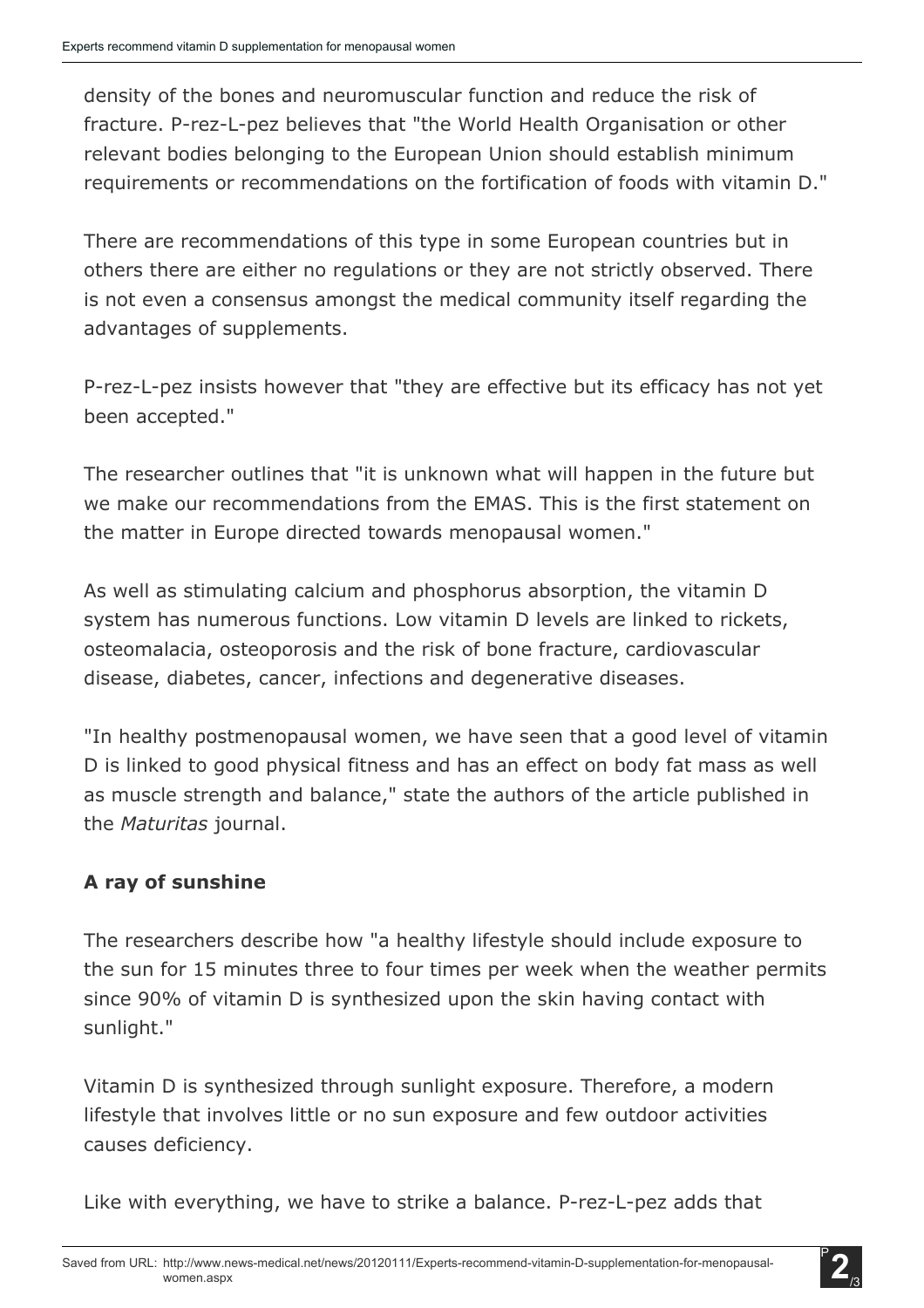density of the bones and neuromuscular function and reduce the risk of fracture. P-rez-L-pez believes that "the World Health Organisation or other relevant bodies belonging to the European Union should establish minimum requirements or recommendations on the fortification of foods with vitamin D."

There are recommendations of this type in some European countries but in others there are either no regulations or they are not strictly observed. There is not even a consensus amongst the medical community itself regarding the advantages of supplements.

P-rez-L-pez insists however that "they are effective but its efficacy has not yet been accepted."

The researcher outlines that "it is unknown what will happen in the future but we make our recommendations from the EMAS. This is the first statement on the matter in Europe directed towards menopausal women."

As well as stimulating calcium and phosphorus absorption, the vitamin D system has numerous functions. Low vitamin D levels are linked to rickets, osteomalacia, osteoporosis and the risk of bone fracture, cardiovascular disease, diabetes, cancer, infections and degenerative diseases.

"In healthy postmenopausal women, we have seen that a good level of vitamin D is linked to good physical fitness and has an effect on body fat mass as well as muscle strength and balance," state the authors of the article published in the *Maturitas* journal.

## A ray of sunshine

The researchers describe how "a healthy lifestyle should include exposure to the sun for 15 minutes three to four times per week when the weather permits since 90% of vitamin D is synthesized upon the skin having contact with sunlight."

Vitamin D is synthesized through sunlight exposure. Therefore, a modern lifestyle that involves little or no sun exposure and few outdoor activities causes deficiency.

Like with everything, we have to strike a balance. P-rez-L-pez adds that